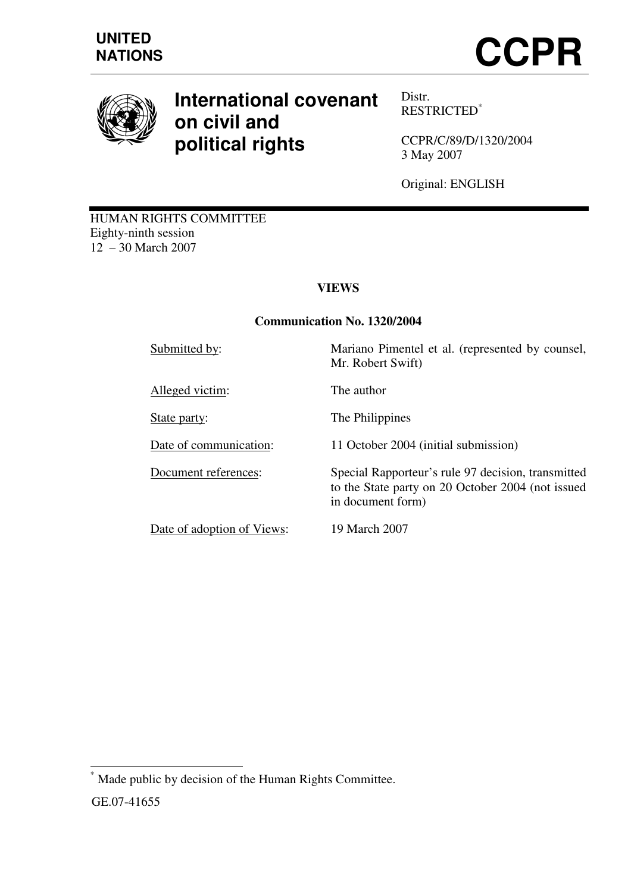

# **International covenant on civil and political rights**

Distr. RESTRICTED\*

CCPR/C/89/D/1320/2004 3 May 2007

Original: ENGLISH

HUMAN RIGHTS COMMITTEE Eighty-ninth session 12 – 30 March 2007

# **VIEWS**

## **Communication No. 1320/2004**

Submitted by: Mariano Pimentel et al. (represented by counsel, Mr. Robert Swift)

Alleged victim: The author

State party: The Philippines

Date of communication: 11 October 2004 (initial submission)

Document references: Special Rapporteur's rule 97 decision, transmitted to the State party on 20 October 2004 (not issued in document form)

Date of adoption of Views: 19 March 2007

 $\overline{a}$ \* Made public by decision of the Human Rights Committee. GE.07-41655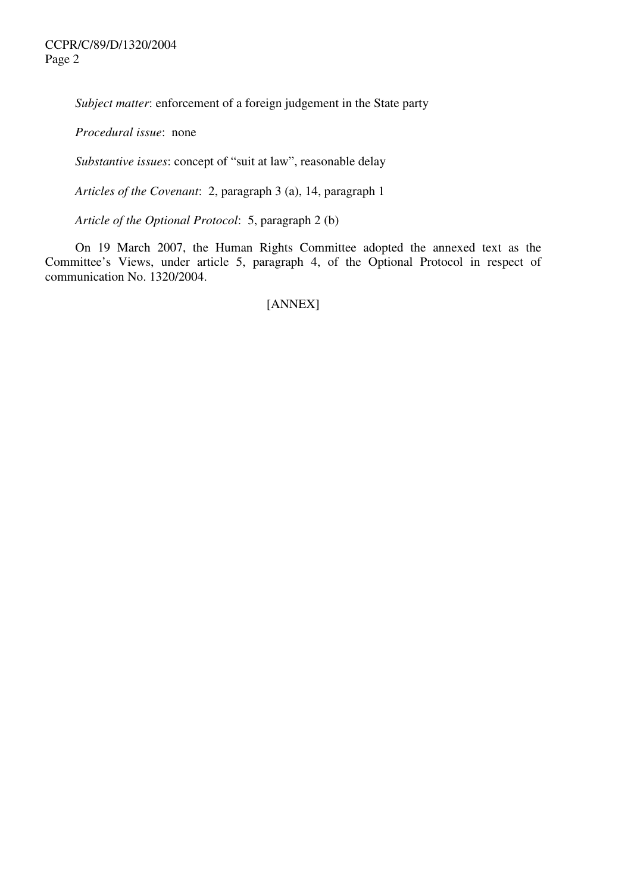*Subject matter*: enforcement of a foreign judgement in the State party

*Procedural issue*: none

*Substantive issues*: concept of "suit at law", reasonable delay

*Articles of the Covenant*: 2, paragraph 3 (a), 14, paragraph 1

*Article of the Optional Protocol*: 5, paragraph 2 (b)

 On 19 March 2007, the Human Rights Committee adopted the annexed text as the Committee's Views, under article 5, paragraph 4, of the Optional Protocol in respect of communication No. 1320/2004.

#### [ANNEX]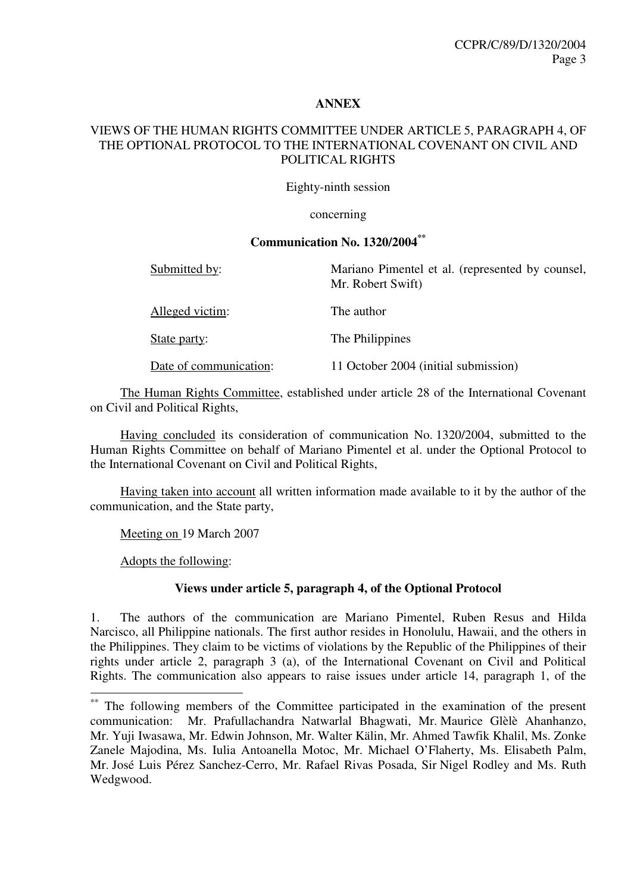#### **ANNEX**

#### VIEWS OF THE HUMAN RIGHTS COMMITTEE UNDER ARTICLE 5, PARAGRAPH 4, OF THE OPTIONAL PROTOCOL TO THE INTERNATIONAL COVENANT ON CIVIL AND POLITICAL RIGHTS

Eighty-ninth session

concerning

#### **Communication No. 1320/2004\*\***

Submitted by: Mariano Pimentel et al. (represented by counsel,

Alleged victim: The author

State party: The Philippines

Date of communication: 11 October 2004 (initial submission)

Mr. Robert Swift)

 The Human Rights Committee, established under article 28 of the International Covenant on Civil and Political Rights,

 Having concluded its consideration of communication No. 1320/2004, submitted to the Human Rights Committee on behalf of Mariano Pimentel et al. under the Optional Protocol to the International Covenant on Civil and Political Rights,

 Having taken into account all written information made available to it by the author of the communication, and the State party,

Meeting on 19 March 2007

Adopts the following:

 $\overline{a}$ 

#### **Views under article 5, paragraph 4, of the Optional Protocol**

1. The authors of the communication are Mariano Pimentel, Ruben Resus and Hilda Narcisco, all Philippine nationals. The first author resides in Honolulu, Hawaii, and the others in the Philippines. They claim to be victims of violations by the Republic of the Philippines of their rights under article 2, paragraph 3 (a), of the International Covenant on Civil and Political Rights. The communication also appears to raise issues under article 14, paragraph 1, of the

The following members of the Committee participated in the examination of the present communication: Mr. Prafullachandra Natwarlal Bhagwati, Mr. Maurice Glèlè Ahanhanzo, Mr. Yuji Iwasawa, Mr. Edwin Johnson, Mr. Walter Kälin, Mr. Ahmed Tawfik Khalil, Ms. Zonke Zanele Majodina, Ms. Iulia Antoanella Motoc, Mr. Michael O'Flaherty, Ms. Elisabeth Palm, Mr. José Luis Pérez Sanchez-Cerro, Mr. Rafael Rivas Posada, Sir Nigel Rodley and Ms. Ruth Wedgwood.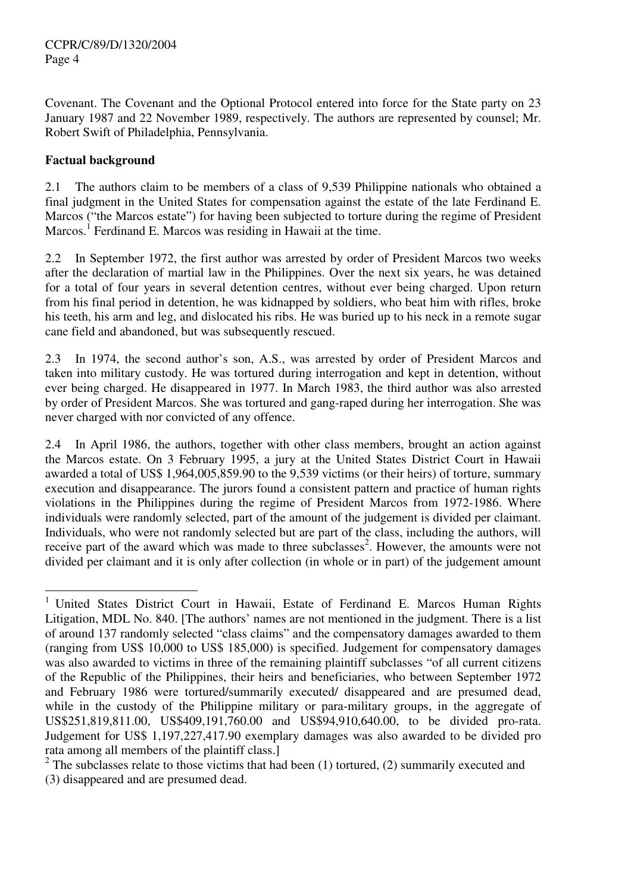Covenant. The Covenant and the Optional Protocol entered into force for the State party on 23 January 1987 and 22 November 1989, respectively. The authors are represented by counsel; Mr. Robert Swift of Philadelphia, Pennsylvania.

## **Factual background**

2.1 The authors claim to be members of a class of 9,539 Philippine nationals who obtained a final judgment in the United States for compensation against the estate of the late Ferdinand E. Marcos ("the Marcos estate") for having been subjected to torture during the regime of President Marcos.<sup>1</sup> Ferdinand E. Marcos was residing in Hawaii at the time.

2.2 In September 1972, the first author was arrested by order of President Marcos two weeks after the declaration of martial law in the Philippines. Over the next six years, he was detained for a total of four years in several detention centres, without ever being charged. Upon return from his final period in detention, he was kidnapped by soldiers, who beat him with rifles, broke his teeth, his arm and leg, and dislocated his ribs. He was buried up to his neck in a remote sugar cane field and abandoned, but was subsequently rescued.

2.3 In 1974, the second author's son, A.S., was arrested by order of President Marcos and taken into military custody. He was tortured during interrogation and kept in detention, without ever being charged. He disappeared in 1977. In March 1983, the third author was also arrested by order of President Marcos. She was tortured and gang-raped during her interrogation. She was never charged with nor convicted of any offence.

2.4 In April 1986, the authors, together with other class members, brought an action against the Marcos estate. On 3 February 1995, a jury at the United States District Court in Hawaii awarded a total of US\$ 1,964,005,859.90 to the 9,539 victims (or their heirs) of torture, summary execution and disappearance. The jurors found a consistent pattern and practice of human rights violations in the Philippines during the regime of President Marcos from 1972-1986. Where individuals were randomly selected, part of the amount of the judgement is divided per claimant. Individuals, who were not randomly selected but are part of the class, including the authors, will receive part of the award which was made to three subclasses<sup>2</sup>. However, the amounts were not divided per claimant and it is only after collection (in whole or in part) of the judgement amount

 $\overline{a}$ 1 United States District Court in Hawaii, Estate of Ferdinand E. Marcos Human Rights Litigation, MDL No. 840. [The authors' names are not mentioned in the judgment. There is a list of around 137 randomly selected "class claims" and the compensatory damages awarded to them (ranging from US\$ 10,000 to US\$ 185,000) is specified. Judgement for compensatory damages was also awarded to victims in three of the remaining plaintiff subclasses "of all current citizens of the Republic of the Philippines, their heirs and beneficiaries, who between September 1972 and February 1986 were tortured/summarily executed/ disappeared and are presumed dead, while in the custody of the Philippine military or para-military groups, in the aggregate of US\$251,819,811.00, US\$409,191,760.00 and US\$94,910,640.00, to be divided pro-rata. Judgement for US\$ 1,197,227,417.90 exemplary damages was also awarded to be divided pro rata among all members of the plaintiff class.]

 $2$  The subclasses relate to those victims that had been (1) tortured, (2) summarily executed and (3) disappeared and are presumed dead.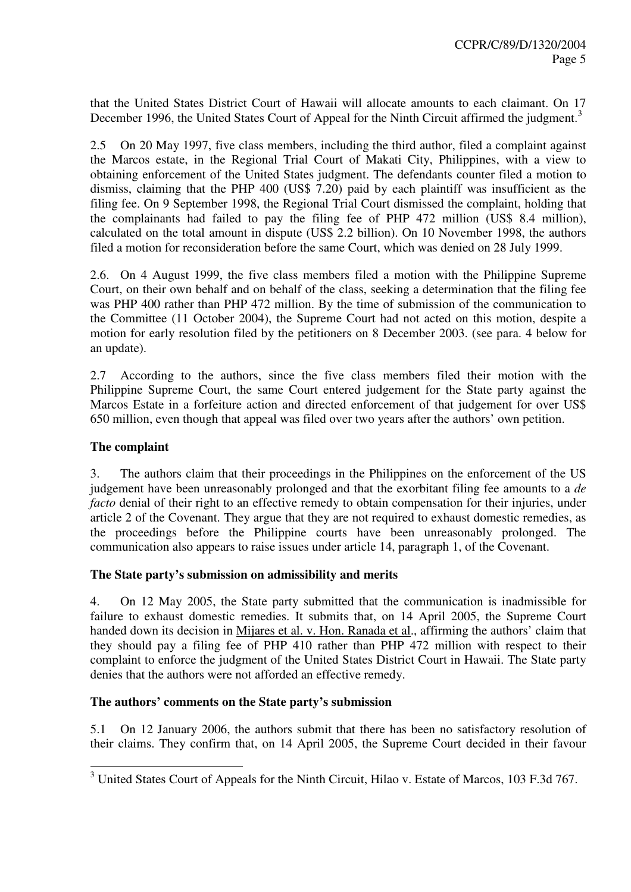that the United States District Court of Hawaii will allocate amounts to each claimant. On 17 December 1996, the United States Court of Appeal for the Ninth Circuit affirmed the judgment.<sup>3</sup>

2.5 On 20 May 1997, five class members, including the third author, filed a complaint against the Marcos estate, in the Regional Trial Court of Makati City, Philippines, with a view to obtaining enforcement of the United States judgment. The defendants counter filed a motion to dismiss, claiming that the PHP 400 (US\$ 7.20) paid by each plaintiff was insufficient as the filing fee. On 9 September 1998, the Regional Trial Court dismissed the complaint, holding that the complainants had failed to pay the filing fee of PHP 472 million (US\$ 8.4 million), calculated on the total amount in dispute (US\$ 2.2 billion). On 10 November 1998, the authors filed a motion for reconsideration before the same Court, which was denied on 28 July 1999.

2.6. On 4 August 1999, the five class members filed a motion with the Philippine Supreme Court, on their own behalf and on behalf of the class, seeking a determination that the filing fee was PHP 400 rather than PHP 472 million. By the time of submission of the communication to the Committee (11 October 2004), the Supreme Court had not acted on this motion, despite a motion for early resolution filed by the petitioners on 8 December 2003. (see para. 4 below for an update).

2.7 According to the authors, since the five class members filed their motion with the Philippine Supreme Court, the same Court entered judgement for the State party against the Marcos Estate in a forfeiture action and directed enforcement of that judgement for over US\$ 650 million, even though that appeal was filed over two years after the authors' own petition.

### **The complaint**

3. The authors claim that their proceedings in the Philippines on the enforcement of the US judgement have been unreasonably prolonged and that the exorbitant filing fee amounts to a *de facto* denial of their right to an effective remedy to obtain compensation for their injuries, under article 2 of the Covenant. They argue that they are not required to exhaust domestic remedies, as the proceedings before the Philippine courts have been unreasonably prolonged. The communication also appears to raise issues under article 14, paragraph 1, of the Covenant.

## **The State party's submission on admissibility and merits**

4. On 12 May 2005, the State party submitted that the communication is inadmissible for failure to exhaust domestic remedies. It submits that, on 14 April 2005, the Supreme Court handed down its decision in Mijares et al. v. Hon. Ranada et al., affirming the authors' claim that they should pay a filing fee of PHP 410 rather than PHP 472 million with respect to their complaint to enforce the judgment of the United States District Court in Hawaii. The State party denies that the authors were not afforded an effective remedy.

## **The authors' comments on the State party's submission**

5.1 On 12 January 2006, the authors submit that there has been no satisfactory resolution of their claims. They confirm that, on 14 April 2005, the Supreme Court decided in their favour

<sup>&</sup>lt;sup>3</sup> United States Court of Appeals for the Ninth Circuit, Hilao v. Estate of Marcos, 103 F.3d 767.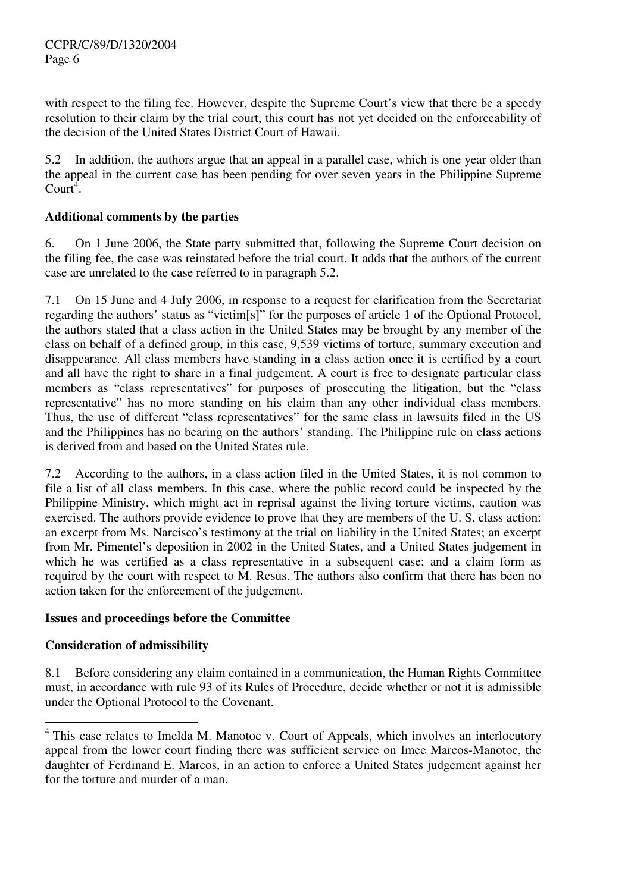with respect to the filing fee. However, despite the Supreme Court's view that there be a speedy resolution to their claim by the trial court, this court has not yet decided on the enforceability of the decision of the United States District Court of Hawaii.

5.2 In addition, the authors argue that an appeal in a parallel case, which is one year older than the appeal in the current case has been pending for over seven years in the Philippine Supreme Court<sup>4</sup>.

## **Additional comments by the parties**

6. On 1 June 2006, the State party submitted that, following the Supreme Court decision on the filing fee, the case was reinstated before the trial court. It adds that the authors of the current case are unrelated to the case referred to in paragraph 5.2.

7.1 On 15 June and 4 July 2006, in response to a request for clarification from the Secretariat regarding the authors' status as "victim[s]" for the purposes of article 1 of the Optional Protocol, the authors stated that a class action in the United States may be brought by any member of the class on behalf of a defined group, in this case, 9,539 victims of torture, summary execution and disappearance. All class members have standing in a class action once it is certified by a court and all have the right to share in a final judgement. A court is free to designate particular class members as "class representatives" for purposes of prosecuting the litigation, but the "class representative" has no more standing on his claim than any other individual class members. Thus, the use of different "class representatives" for the same class in lawsuits filed in the US and the Philippines has no bearing on the authors' standing. The Philippine rule on class actions is derived from and based on the United States rule.

7.2 According to the authors, in a class action filed in the United States, it is not common to file a list of all class members. In this case, where the public record could be inspected by the Philippine Ministry, which might act in reprisal against the living torture victims, caution was exercised. The authors provide evidence to prove that they are members of the U. S. class action: an excerpt from Ms. Narcisco's testimony at the trial on liability in the United States; an excerpt from Mr. Pimentel's deposition in 2002 in the United States, and a United States judgement in which he was certified as a class representative in a subsequent case; and a claim form as required by the court with respect to M. Resus. The authors also confirm that there has been no action taken for the enforcement of the judgement.

## **Issues and proceedings before the Committee**

## **Consideration of admissibility**

 $\overline{a}$ 

8.1 Before considering any claim contained in a communication, the Human Rights Committee must, in accordance with rule 93 of its Rules of Procedure, decide whether or not it is admissible under the Optional Protocol to the Covenant.

<sup>&</sup>lt;sup>4</sup> This case relates to Imelda M. Manotoc v. Court of Appeals, which involves an interlocutory appeal from the lower court finding there was sufficient service on Imee Marcos-Manotoc, the daughter of Ferdinand E. Marcos, in an action to enforce a United States judgement against her for the torture and murder of a man.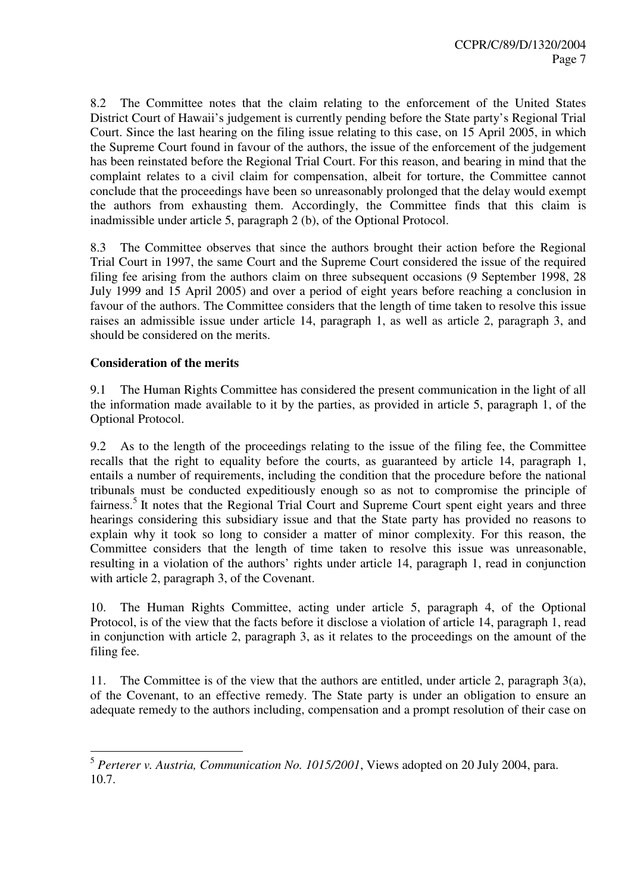8.2 The Committee notes that the claim relating to the enforcement of the United States District Court of Hawaii's judgement is currently pending before the State party's Regional Trial Court. Since the last hearing on the filing issue relating to this case, on 15 April 2005, in which the Supreme Court found in favour of the authors, the issue of the enforcement of the judgement has been reinstated before the Regional Trial Court. For this reason, and bearing in mind that the complaint relates to a civil claim for compensation, albeit for torture, the Committee cannot conclude that the proceedings have been so unreasonably prolonged that the delay would exempt the authors from exhausting them. Accordingly, the Committee finds that this claim is inadmissible under article 5, paragraph 2 (b), of the Optional Protocol.

8.3 The Committee observes that since the authors brought their action before the Regional Trial Court in 1997, the same Court and the Supreme Court considered the issue of the required filing fee arising from the authors claim on three subsequent occasions (9 September 1998, 28 July 1999 and 15 April 2005) and over a period of eight years before reaching a conclusion in favour of the authors. The Committee considers that the length of time taken to resolve this issue raises an admissible issue under article 14, paragraph 1, as well as article 2, paragraph 3, and should be considered on the merits.

#### **Consideration of the merits**

9.1 The Human Rights Committee has considered the present communication in the light of all the information made available to it by the parties, as provided in article 5, paragraph 1, of the Optional Protocol.

9.2 As to the length of the proceedings relating to the issue of the filing fee, the Committee recalls that the right to equality before the courts, as guaranteed by article 14, paragraph 1, entails a number of requirements, including the condition that the procedure before the national tribunals must be conducted expeditiously enough so as not to compromise the principle of fairness.<sup>5</sup> It notes that the Regional Trial Court and Supreme Court spent eight years and three hearings considering this subsidiary issue and that the State party has provided no reasons to explain why it took so long to consider a matter of minor complexity. For this reason, the Committee considers that the length of time taken to resolve this issue was unreasonable, resulting in a violation of the authors' rights under article 14, paragraph 1, read in conjunction with article 2, paragraph 3, of the Covenant.

10. The Human Rights Committee, acting under article 5, paragraph 4, of the Optional Protocol, is of the view that the facts before it disclose a violation of article 14, paragraph 1, read in conjunction with article 2, paragraph 3, as it relates to the proceedings on the amount of the filing fee.

11. The Committee is of the view that the authors are entitled, under article 2, paragraph 3(a), of the Covenant, to an effective remedy. The State party is under an obligation to ensure an adequate remedy to the authors including, compensation and a prompt resolution of their case on

 5 *Perterer v. Austria, Communication No. 1015/2001*, Views adopted on 20 July 2004, para. 10.7.